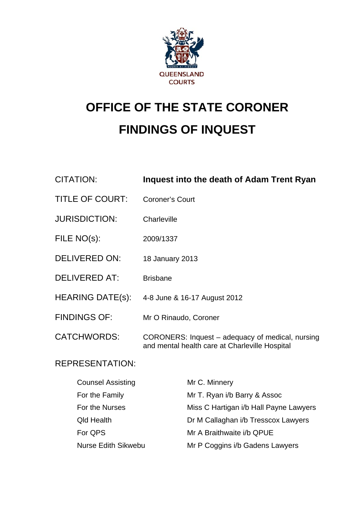

# **OFFICE OF THE STATE CORONER FINDINGS OF INQUEST**

| <b>CITATION:</b>        | Inquest into the death of Adam Trent Ryan                                                          |
|-------------------------|----------------------------------------------------------------------------------------------------|
| <b>TITLE OF COURT:</b>  | <b>Coroner's Court</b>                                                                             |
| <b>JURISDICTION:</b>    | Charleville                                                                                        |
| FILE NO(s):             | 2009/1337                                                                                          |
| <b>DELIVERED ON:</b>    | 18 January 2013                                                                                    |
| <b>DELIVERED AT:</b>    | <b>Brisbane</b>                                                                                    |
| <b>HEARING DATE(s):</b> | 4-8 June & 16-17 August 2012                                                                       |
| <b>FINDINGS OF:</b>     | Mr O Rinaudo, Coroner                                                                              |
| <b>CATCHWORDS:</b>      | CORONERS: Inquest – adequacy of medical, nursing<br>and mental health care at Charleville Hospital |

# REPRESENTATION:

| <b>Counsel Assisting</b>   | Mr C. Minnery                          |
|----------------------------|----------------------------------------|
| For the Family             | Mr T. Ryan i/b Barry & Assoc           |
| For the Nurses             | Miss C Hartigan i/b Hall Payne Lawyers |
| <b>Qld Health</b>          | Dr M Callaghan i/b Tresscox Lawyers    |
| For QPS                    | Mr A Braithwaite i/b QPUE              |
| <b>Nurse Edith Sikwebu</b> | Mr P Coggins i/b Gadens Lawyers        |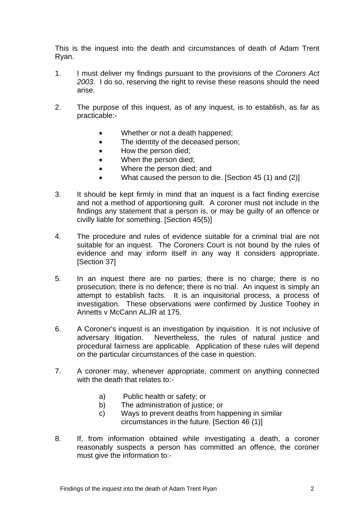This is the inquest into the death and circumstances of death of Adam Trent Ryan.

- 1. I must deliver my findings pursuant to the provisions of the *Coroners Act 2003*. I do so, reserving the right to revise these reasons should the need arise.
- 2. The purpose of this inquest, as of any inquest, is to establish, as far as practicable:-
	- Whether or not a death happened;
	- The identity of the deceased person;
	- How the person died;
	- When the person died;
	- Where the person died; and
	- What caused the person to die. [Section 45 (1) and (2)]
- 3. It should be kept firmly in mind that an inquest is a fact finding exercise and not a method of apportioning guilt. A coroner must not include in the findings any statement that a person is, or may be guilty of an offence or civilly liable for something. [Section 45(5)]
- 4. The procedure and rules of evidence suitable for a criminal trial are not suitable for an inquest. The Coroners Court is not bound by the rules of evidence and may inform itself in any way it considers appropriate. [Section 37]
- 5. In an inquest there are no parties; there is no charge; there is no prosecution; there is no defence; there is no trial. An inquest is simply an attempt to establish facts. It is an inquisitorial process, a process of investigation. These observations were confirmed by Justice Toohey in Annetts v McCann ALJR at 175.
- 6. A Coroner's inquest is an investigation by inquisition. It is not inclusive of adversary litigation. Nevertheless, the rules of natural justice and procedural fairness are applicable. Application of these rules will depend on the particular circumstances of the case in question.
- 7. A coroner may, whenever appropriate, comment on anything connected with the death that relates to:
	- a) Public health or safety; or
	- b) The administration of justice; or
	- c) Ways to prevent deaths from happening in similar circumstances in the future. [Section 46 (1)]
- 8. If, from information obtained while investigating a death, a coroner reasonably suspects a person has committed an offence, the coroner must give the information to:-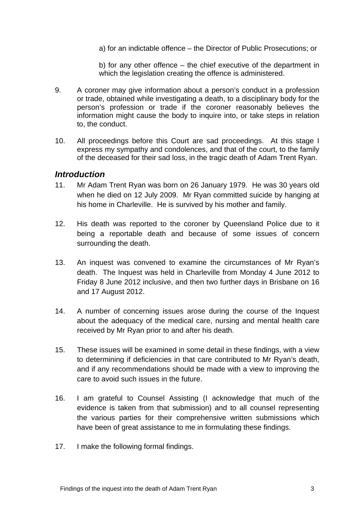a) for an indictable offence – the Director of Public Prosecutions; or

b) for any other offence – the chief executive of the department in which the legislation creating the offence is administered.

- 9. A coroner may give information about a person's conduct in a profession or trade, obtained while investigating a death, to a disciplinary body for the person's profession or trade if the coroner reasonably believes the information might cause the body to inquire into, or take steps in relation to, the conduct.
- 10. All proceedings before this Court are sad proceedings. At this stage I express my sympathy and condolences, and that of the court, to the family of the deceased for their sad loss, in the tragic death of Adam Trent Ryan.

#### *Introduction*

- 11. Mr Adam Trent Ryan was born on 26 January 1979. He was 30 years old when he died on 12 July 2009. Mr Ryan committed suicide by hanging at his home in Charleville. He is survived by his mother and family.
- 12. His death was reported to the coroner by Queensland Police due to it being a reportable death and because of some issues of concern surrounding the death.
- 13. An inquest was convened to examine the circumstances of Mr Ryan's death. The Inquest was held in Charleville from Monday 4 June 2012 to Friday 8 June 2012 inclusive, and then two further days in Brisbane on 16 and 17 August 2012.
- 14. A number of concerning issues arose during the course of the Inquest about the adequacy of the medical care, nursing and mental health care received by Mr Ryan prior to and after his death.
- 15. These issues will be examined in some detail in these findings, with a view to determining if deficiencies in that care contributed to Mr Ryan's death, and if any recommendations should be made with a view to improving the care to avoid such issues in the future.
- 16. I am grateful to Counsel Assisting (I acknowledge that much of the evidence is taken from that submission) and to all counsel representing the various parties for their comprehensive written submissions which have been of great assistance to me in formulating these findings.
- 17. I make the following formal findings.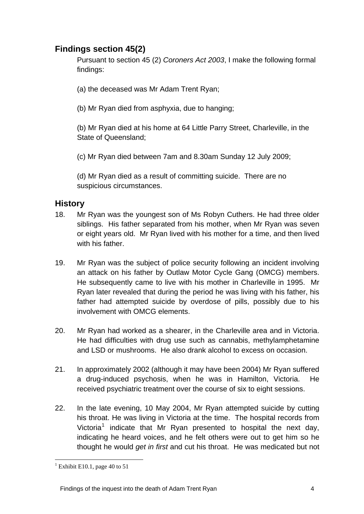# **Findings section 45(2)**

Pursuant to section 45 (2) *Coroners Act 2003*, I make the following formal findings:

- (a) the deceased was Mr Adam Trent Ryan;
- (b) Mr Ryan died from asphyxia, due to hanging;

(b) Mr Ryan died at his home at 64 Little Parry Street, Charleville, in the State of Queensland;

(c) Mr Ryan died between 7am and 8.30am Sunday 12 July 2009;

(d) Mr Ryan died as a result of committing suicide. There are no suspicious circumstances.

# **History**

- 18. Mr Ryan was the youngest son of Ms Robyn Cuthers. He had three older siblings. His father separated from his mother, when Mr Ryan was seven or eight years old. Mr Ryan lived with his mother for a time, and then lived with his father.
- 19. Mr Ryan was the subject of police security following an incident involving an attack on his father by Outlaw Motor Cycle Gang (OMCG) members. He subsequently came to live with his mother in Charleville in 1995. Mr Ryan later revealed that during the period he was living with his father, his father had attempted suicide by overdose of pills, possibly due to his involvement with OMCG elements.
- 20. Mr Ryan had worked as a shearer, in the Charleville area and in Victoria. He had difficulties with drug use such as cannabis, methylamphetamine and LSD or mushrooms. He also drank alcohol to excess on occasion.
- 21. In approximately 2002 (although it may have been 2004) Mr Ryan suffered a drug-induced psychosis, when he was in Hamilton, Victoria. He received psychiatric treatment over the course of six to eight sessions.
- 22. In the late evening, 10 May 2004, Mr Ryan attempted suicide by cutting his throat. He was living in Victoria at the time. The hospital records from Victoria<sup>[1](#page-3-0)</sup> indicate that Mr Ryan presented to hospital the next day, indicating he heard voices, and he felt others were out to get him so he thought he would *get in first* and cut his throat. He was medicated but not

<span id="page-3-0"></span> $\overline{a}$  $<sup>1</sup>$  Exhibit E10.1, page 40 to 51</sup>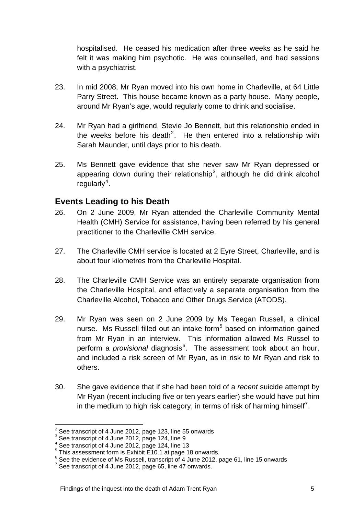hospitalised. He ceased his medication after three weeks as he said he felt it was making him psychotic. He was counselled, and had sessions with a psychiatrist.

- 23. In mid 2008, Mr Ryan moved into his own home in Charleville, at 64 Little Parry Street. This house became known as a party house. Many people, around Mr Ryan's age, would regularly come to drink and socialise.
- 24. Mr Ryan had a girlfriend, Stevie Jo Bennett, but this relationship ended in the weeks before his death<sup>[2](#page-4-0)</sup>. He then entered into a relationship with Sarah Maunder, until days prior to his death.
- 25. Ms Bennett gave evidence that she never saw Mr Ryan depressed or appearing down during their relationship<sup>[3](#page-4-1)</sup>, although he did drink alcohol regularly<sup>[4](#page-4-2)</sup>.

# **Events Leading to his Death**

- 26. On 2 June 2009, Mr Ryan attended the Charleville Community Mental Health (CMH) Service for assistance, having been referred by his general practitioner to the Charleville CMH service.
- 27. The Charleville CMH service is located at 2 Eyre Street, Charleville, and is about four kilometres from the Charleville Hospital.
- 28. The Charleville CMH Service was an entirely separate organisation from the Charleville Hospital, and effectively a separate organisation from the Charleville Alcohol, Tobacco and Other Drugs Service (ATODS).
- 29. Mr Ryan was seen on 2 June 2009 by Ms Teegan Russell, a clinical nurse. Ms Russell filled out an intake form<sup>[5](#page-4-3)</sup> based on information gained from Mr Ryan in an interview. This information allowed Ms Russel to perform a *provisional* diagnosis<sup>[6](#page-4-4)</sup>. The assessment took about an hour, and included a risk screen of Mr Ryan, as in risk to Mr Ryan and risk to others.
- 30. She gave evidence that if she had been told of a *recent* suicide attempt by Mr Ryan (recent including five or ten years earlier) she would have put him in the medium to high risk category, in terms of risk of harming himself<sup>[7](#page-4-5)</sup>.

 $\overline{a}$  $2$  See transcript of 4 June 2012, page 123, line 55 onwards

<span id="page-4-1"></span><span id="page-4-0"></span><sup>&</sup>lt;sup>3</sup> See transcript of 4 June 2012, page 124, line 9

<span id="page-4-2"></span><sup>4</sup> See transcript of 4 June 2012, page 124, line 13

<span id="page-4-3"></span> $5$  This assessment form is Exhibit E10.1 at page 18 onwards.

 $^6$  See the evidence of Ms Russell, transcript of 4 June 2012, page 61, line 15 onwards

<span id="page-4-5"></span><span id="page-4-4"></span> $7$  See transcript of 4 June 2012, page 65, line 47 onwards.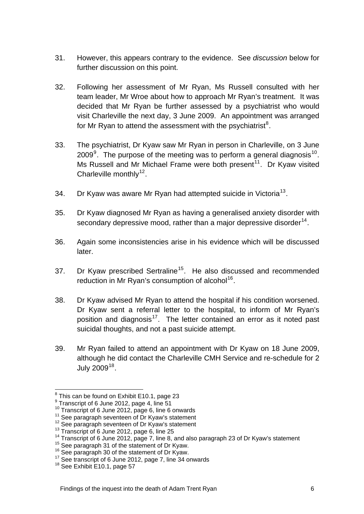- 31. However, this appears contrary to the evidence. See *discussion* below for further discussion on this point.
- 32. Following her assessment of Mr Ryan, Ms Russell consulted with her team leader, Mr Wroe about how to approach Mr Ryan's treatment. It was decided that Mr Ryan be further assessed by a psychiatrist who would visit Charleville the next day, 3 June 2009. An appointment was arranged for Mr Ryan to attend the assessment with the psychiatrist $8$ .
- 33. The psychiatrist, Dr Kyaw saw Mr Ryan in person in Charleville, on 3 June 200[9](#page-5-1) $^9$ . The purpose of the meeting was to perform a general diagnosis<sup>[10](#page-5-2)</sup>. Ms Russell and Mr Michael Frame were both present<sup>[11](#page-5-3)</sup>. Dr Kyaw visited Charleville monthly<sup>[12](#page-5-4)</sup>.
- 34. Dr Kyaw was aware Mr Ryan had attempted suicide in Victoria<sup>[13](#page-5-5)</sup>.
- 35. Dr Kyaw diagnosed Mr Ryan as having a generalised anxiety disorder with secondary depressive mood, rather than a major depressive disorder  $14$ .
- 36. Again some inconsistencies arise in his evidence which will be discussed later.
- 37. Dr Kyaw prescribed Sertraline<sup>[15](#page-5-7)</sup>. He also discussed and recommended reduction in Mr Ryan's consumption of alcohol<sup>[16](#page-5-8)</sup>.
- 38. Dr Kyaw advised Mr Ryan to attend the hospital if his condition worsened. Dr Kyaw sent a referral letter to the hospital, to inform of Mr Ryan's position and diagnosis<sup>[17](#page-5-9)</sup>. The letter contained an error as it noted past suicidal thoughts, and not a past suicide attempt.
- 39. Mr Ryan failed to attend an appointment with Dr Kyaw on 18 June 2009, although he did contact the Charleville CMH Service and re-schedule for 2 July  $2009^{18}$  $2009^{18}$  $2009^{18}$ .

 $\overline{a}$  $8$  This can be found on Exhibit E10.1, page 23

<span id="page-5-0"></span> $9$  Transcript of 6 June 2012, page 4, line 51

<span id="page-5-4"></span>

<span id="page-5-6"></span><span id="page-5-5"></span>

<span id="page-5-3"></span><span id="page-5-2"></span><span id="page-5-1"></span><sup>&</sup>lt;sup>10</sup> Transcript of 6 June 2012, page 6, line 6 onwards<br><sup>11</sup> See paragraph seventeen of Dr Kyaw's statement<br><sup>12</sup> See paragraph seventeen of Dr Kyaw's statement<br><sup>13</sup> Transcript of 6 June 2012, page 6, line 25<br><sup>14</sup> Transcrip

<span id="page-5-7"></span>

<span id="page-5-8"></span>

<span id="page-5-9"></span>

<span id="page-5-10"></span>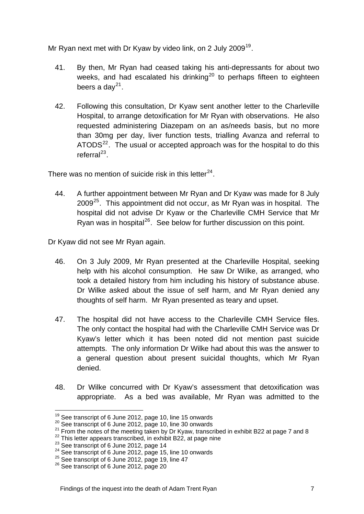Mr Ryan next met with Dr Kyaw by video link, on 2 July 2009<sup>[19](#page-6-0)</sup>.

- 41. By then, Mr Ryan had ceased taking his anti-depressants for about two weeks, and had escalated his drinking<sup>[20](#page-6-1)</sup> to perhaps fifteen to eighteen beers a day $^{21}$  $^{21}$  $^{21}$ .
- 42. Following this consultation, Dr Kyaw sent another letter to the Charleville Hospital, to arrange detoxification for Mr Ryan with observations. He also requested administering Diazepam on an as/needs basis, but no more than 30mg per day, liver function tests, trialling Avanza and referral to ATODS<sup>[22](#page-6-3)</sup>. The usual or accepted approach was for the hospital to do this referral $^{23}$  $^{23}$  $^{23}$ .

There was no mention of suicide risk in this letter<sup>[24](#page-6-5)</sup>.

44. A further appointment between Mr Ryan and Dr Kyaw was made for 8 July 2009<sup>[25](#page-6-6)</sup>. This appointment did not occur, as Mr Ryan was in hospital. The hospital did not advise Dr Kyaw or the Charleville CMH Service that Mr Ryan was in hospital<sup>[26](#page-6-7)</sup>. See below for further discussion on this point.

Dr Kyaw did not see Mr Ryan again.

- 46. On 3 July 2009, Mr Ryan presented at the Charleville Hospital, seeking help with his alcohol consumption. He saw Dr Wilke, as arranged, who took a detailed history from him including his history of substance abuse. Dr Wilke asked about the issue of self harm, and Mr Ryan denied any thoughts of self harm. Mr Ryan presented as teary and upset.
- 47. The hospital did not have access to the Charleville CMH Service files. The only contact the hospital had with the Charleville CMH Service was Dr Kyaw's letter which it has been noted did not mention past suicide attempts. The only information Dr Wilke had about this was the answer to a general question about present suicidal thoughts, which Mr Ryan denied.
- 48. Dr Wilke concurred with Dr Kyaw's assessment that detoxification was appropriate. As a bed was available, Mr Ryan was admitted to the

<span id="page-6-1"></span><span id="page-6-0"></span><sup>&</sup>lt;sup>19</sup> See transcript of 6 June 2012, page 10, line 15 onwards<br><sup>20</sup> See transcript of 6 June 2012, page 10, line 30 onwards<br><sup>21</sup> From the notes of the meeting taken by Dr Kyaw, transcribed in exhibit B22 at page 7 and 8<br><sup>22</sup>

<span id="page-6-4"></span><span id="page-6-3"></span><span id="page-6-2"></span>

<span id="page-6-5"></span>

<span id="page-6-6"></span>

<span id="page-6-7"></span>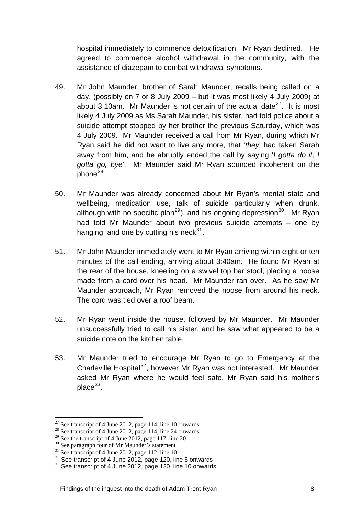hospital immediately to commence detoxification. Mr Ryan declined. He agreed to commence alcohol withdrawal in the community, with the assistance of diazepam to combat withdrawal symptoms.

- 49. Mr John Maunder, brother of Sarah Maunder, recalls being called on a day, (possibly on 7 or 8 July 2009 – but it was most likely 4 July 2009) at about 3:10am. Mr Maunder is not certain of the actual date<sup>[27](#page-7-0)</sup>. It is most likely 4 July 2009 as Ms Sarah Maunder, his sister, had told police about a suicide attempt stopped by her brother the previous Saturday, which was 4 July 2009. Mr Maunder received a call from Mr Ryan, during which Mr Ryan said he did not want to live any more, that '*they*' had taken Sarah away from him, and he abruptly ended the call by saying '*I gotta do it, I gotta go, bye*'. Mr Maunder said Mr Ryan sounded incoherent on the  $phone<sup>28</sup>$  $phone<sup>28</sup>$  $phone<sup>28</sup>$
- 50. Mr Maunder was already concerned about Mr Ryan's mental state and wellbeing, medication use, talk of suicide particularly when drunk, although with no specific plan<sup>[29](#page-7-2)</sup>), and his ongoing depression<sup>[30](#page-7-3)</sup>. Mr Ryan had told Mr Maunder about two previous suicide attempts – one by hanging, and one by cutting his neck $31$ .
- 51. Mr John Maunder immediately went to Mr Ryan arriving within eight or ten minutes of the call ending, arriving about 3:40am. He found Mr Ryan at the rear of the house, kneeling on a swivel top bar stool, placing a noose made from a cord over his head. Mr Maunder ran over. As he saw Mr Maunder approach, Mr Ryan removed the noose from around his neck. The cord was tied over a roof beam.
- 52. Mr Ryan went inside the house, followed by Mr Maunder. Mr Maunder unsuccessfully tried to call his sister, and he saw what appeared to be a suicide note on the kitchen table.
- 53. Mr Maunder tried to encourage Mr Ryan to go to Emergency at the Charleville Hospital<sup>[32](#page-7-5)</sup>, however Mr Ryan was not interested. Mr Maunder asked Mr Ryan where he would feel safe, Mr Ryan said his mother's  $place<sup>33</sup>$  $place<sup>33</sup>$  $place<sup>33</sup>$ .

<span id="page-7-0"></span> $27$  See transcript of 4 June 2012, page 114, line 10 onwards

<span id="page-7-1"></span><sup>&</sup>lt;sup>28</sup> See transcript of 4 June 2012, page 114, line 24 onwards

<span id="page-7-2"></span><sup>&</sup>lt;sup>29</sup> See the transcript of 4 June 2012, page 117, line 20

<span id="page-7-3"></span><sup>&</sup>lt;sup>30</sup> See paragraph four of Mr Maunder's statement

<span id="page-7-4"></span><sup>&</sup>lt;sup>31</sup> See transcript of 4 June 2012, page 112, line 10<br><sup>32</sup> See transcript of 4 June 2012, page 120, line 5 onwards

<span id="page-7-6"></span><span id="page-7-5"></span><sup>&</sup>lt;sup>33</sup> See transcript of 4 June 2012, page 120, line 10 onwards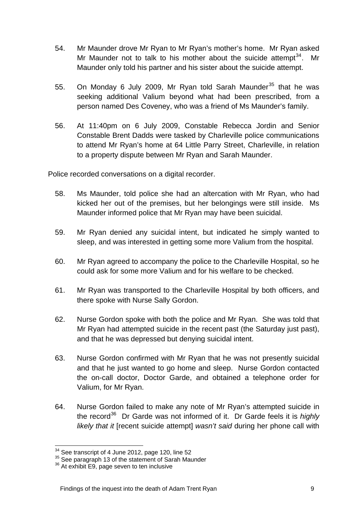- 54. Mr Maunder drove Mr Ryan to Mr Ryan's mother's home. Mr Ryan asked Mr Maunder not to talk to his mother about the suicide attempt  $34$ . Mr Maunder only told his partner and his sister about the suicide attempt.
- 55. On Monday 6 July 2009, Mr Ryan told Sarah Maunder<sup>[35](#page-8-1)</sup> that he was seeking additional Valium beyond what had been prescribed, from a person named Des Coveney, who was a friend of Ms Maunder's family.
- 56. At 11:40pm on 6 July 2009, Constable Rebecca Jordin and Senior Constable Brent Dadds were tasked by Charleville police communications to attend Mr Ryan's home at 64 Little Parry Street, Charleville, in relation to a property dispute between Mr Ryan and Sarah Maunder.

Police recorded conversations on a digital recorder.

- 58. Ms Maunder, told police she had an altercation with Mr Ryan, who had kicked her out of the premises, but her belongings were still inside. Ms Maunder informed police that Mr Ryan may have been suicidal.
- 59. Mr Ryan denied any suicidal intent, but indicated he simply wanted to sleep, and was interested in getting some more Valium from the hospital.
- 60. Mr Ryan agreed to accompany the police to the Charleville Hospital, so he could ask for some more Valium and for his welfare to be checked.
- 61. Mr Ryan was transported to the Charleville Hospital by both officers, and there spoke with Nurse Sally Gordon.
- 62. Nurse Gordon spoke with both the police and Mr Ryan. She was told that Mr Ryan had attempted suicide in the recent past (the Saturday just past), and that he was depressed but denying suicidal intent.
- 63. Nurse Gordon confirmed with Mr Ryan that he was not presently suicidal and that he just wanted to go home and sleep. Nurse Gordon contacted the on-call doctor, Doctor Garde, and obtained a telephone order for Valium, for Mr Ryan.
- 64. Nurse Gordon failed to make any note of Mr Ryan's attempted suicide in the record[36](#page-8-2) Dr Garde was not informed of it. Dr Garde feels it is *highly likely that it* [recent suicide attempt] *wasn't said* during her phone call with

 $\overline{a}$ 

<span id="page-8-1"></span><span id="page-8-0"></span><sup>&</sup>lt;sup>34</sup> See transcript of 4 June 2012, page 120, line 52<br><sup>35</sup> See paragraph 13 of the statement of Sarah Maunder<br><sup>36</sup> At exhibit E9, page seven to ten inclusive

<span id="page-8-2"></span>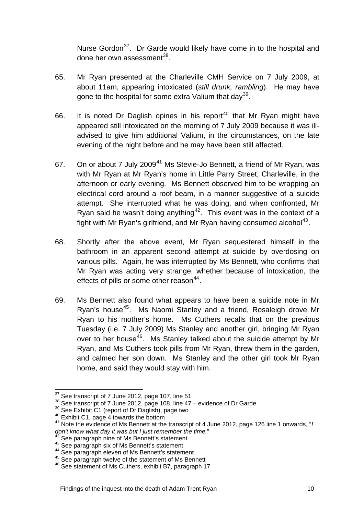Nurse Gordon<sup>[37](#page-9-0)</sup>. Dr Garde would likely have come in to the hospital and done her own assessment $^{38}$  $^{38}$  $^{38}$ .

- 65. Mr Ryan presented at the Charleville CMH Service on 7 July 2009, at about 11am, appearing intoxicated (*still drunk, rambling*). He may have gone to the hospital for some extra Valium that day<sup>[39](#page-9-2)</sup>.
- 66. It is noted Dr Daglish opines in his report<sup>[40](#page-9-3)</sup> that Mr Ryan might have appeared still intoxicated on the morning of 7 July 2009 because it was illadvised to give him additional Valium, in the circumstances, on the late evening of the night before and he may have been still affected.
- 67. On or about 7 July 2009<sup>[41](#page-9-4)</sup> Ms Stevie-Jo Bennett, a friend of Mr Ryan, was with Mr Ryan at Mr Ryan's home in Little Parry Street, Charleville, in the afternoon or early evening. Ms Bennett observed him to be wrapping an electrical cord around a roof beam, in a manner suggestive of a suicide attempt. She interrupted what he was doing, and when confronted, Mr Ryan said he wasn't doing anything<sup>[42](#page-9-5)</sup>. This event was in the context of a fight with Mr Ryan's girlfriend, and Mr Ryan having consumed alcohol<sup>[43](#page-9-6)</sup>.
- 68. Shortly after the above event, Mr Ryan sequestered himself in the bathroom in an apparent second attempt at suicide by overdosing on various pills. Again, he was interrupted by Ms Bennett, who confirms that Mr Ryan was acting very strange, whether because of intoxication, the effects of pills or some other reason $44$ .
- 69. Ms Bennett also found what appears to have been a suicide note in Mr Ryan's house<sup>[45](#page-9-8)</sup>. Ms Naomi Stanley and a friend, Rosaleigh drove Mr Ryan to his mother's home. Ms Cuthers recalls that on the previous Tuesday (i.e. 7 July 2009) Ms Stanley and another girl, bringing Mr Ryan over to her house<sup>[46](#page-9-9)</sup>. Ms Stanley talked about the suicide attempt by Mr Ryan, and Ms Cuthers took pills from Mr Ryan, threw them in the garden, and calmed her son down. Ms Stanley and the other girl took Mr Ryan home, and said they would stay with him.

<span id="page-9-0"></span><sup>&</sup>lt;sup>37</sup> See transcript of 7 June 2012, page 107, line 51

<span id="page-9-2"></span>

<span id="page-9-4"></span><span id="page-9-3"></span>

<span id="page-9-1"></span><sup>&</sup>lt;sup>38</sup> See transcript of 7 June 2012, page 108, line 47 – evidence of Dr Garde<br><sup>39</sup> See Exhibit C1 (report of Dr Daglish), page two<br><sup>40</sup> Exhibit C1, page 4 towards the bottom<br><sup>41</sup> Note the evidence of Ms Bennett at the tran

<span id="page-9-6"></span>

<span id="page-9-7"></span>

<span id="page-9-9"></span><span id="page-9-8"></span>

<span id="page-9-5"></span><sup>&</sup>lt;sup>42</sup> See paragraph nine of Ms Bennett's statement<br><sup>43</sup> See paragraph six of Ms Bennett's statement<br><sup>44</sup> See paragraph eleven of Ms Bennett's statement<br><sup>45</sup> See paragraph twelve of the statement of Ms Bennett<br><sup>46</sup> See stat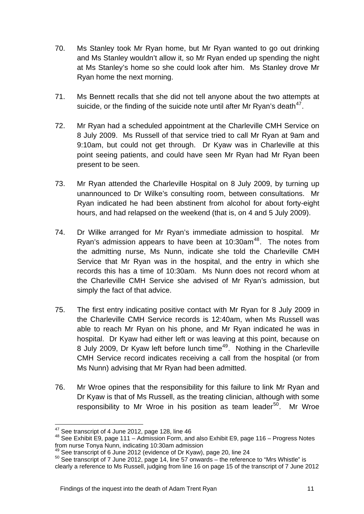- 70. Ms Stanley took Mr Ryan home, but Mr Ryan wanted to go out drinking and Ms Stanley wouldn't allow it, so Mr Ryan ended up spending the night at Ms Stanley's home so she could look after him. Ms Stanley drove Mr Ryan home the next morning.
- 71. Ms Bennett recalls that she did not tell anyone about the two attempts at suicide, or the finding of the suicide note until after Mr Ryan's death<sup>[47](#page-10-0)</sup>.
- 72. Mr Ryan had a scheduled appointment at the Charleville CMH Service on 8 July 2009. Ms Russell of that service tried to call Mr Ryan at 9am and 9:10am, but could not get through. Dr Kyaw was in Charleville at this point seeing patients, and could have seen Mr Ryan had Mr Ryan been present to be seen.
- 73. Mr Ryan attended the Charleville Hospital on 8 July 2009, by turning up unannounced to Dr Wilke's consulting room, between consultations. Mr Ryan indicated he had been abstinent from alcohol for about forty-eight hours, and had relapsed on the weekend (that is, on 4 and 5 July 2009).
- 74. Dr Wilke arranged for Mr Ryan's immediate admission to hospital. Mr Ryan's admission appears to have been at  $10:30$ am<sup>[48](#page-10-1)</sup>. The notes from the admitting nurse, Ms Nunn, indicate she told the Charleville CMH Service that Mr Ryan was in the hospital, and the entry in which she records this has a time of 10:30am. Ms Nunn does not record whom at the Charleville CMH Service she advised of Mr Ryan's admission, but simply the fact of that advice.
- 75. The first entry indicating positive contact with Mr Ryan for 8 July 2009 in the Charleville CMH Service records is 12:40am, when Ms Russell was able to reach Mr Ryan on his phone, and Mr Ryan indicated he was in hospital. Dr Kyaw had either left or was leaving at this point, because on 8 July 2009, Dr Kyaw left before lunch time<sup>[49](#page-10-2)</sup>. Nothing in the Charleville CMH Service record indicates receiving a call from the hospital (or from Ms Nunn) advising that Mr Ryan had been admitted.
- 76. Mr Wroe opines that the responsibility for this failure to link Mr Ryan and Dr Kyaw is that of Ms Russell, as the treating clinician, although with some responsibility to Mr Wroe in his position as team leader<sup>[50](#page-10-3)</sup>. Mr Wroe

<span id="page-10-1"></span><span id="page-10-0"></span><sup>&</sup>lt;sup>47</sup> See transcript of 4 June 2012, page 128, line 46<br><sup>48</sup> See Exhibit E9, page 111 – Admission Form, and also Exhibit E9, page 116 – Progress Notes from nurse Tonya Nunn, indicating 10:30am admission<br><sup>49</sup> See transcript of 6 June 2012 (evidence of Dr Kyaw), page 20, line 24

<span id="page-10-2"></span>

<span id="page-10-3"></span> $50$  See transcript of 7 June 2012, page 14, line 57 onwards – the reference to "Mrs Whistle" is clearly a reference to Ms Russell, judging from line 16 on page 15 of the transcript of 7 June 2012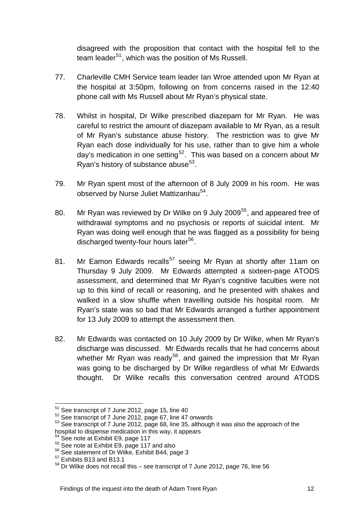disagreed with the proposition that contact with the hospital fell to the team leader<sup>[51](#page-11-0)</sup>, which was the position of Ms Russell.

- 77. Charleville CMH Service team leader Ian Wroe attended upon Mr Ryan at the hospital at 3:50pm, following on from concerns raised in the 12:40 phone call with Ms Russell about Mr Ryan's physical state.
- 78. Whilst in hospital, Dr Wilke prescribed diazepam for Mr Ryan. He was careful to restrict the amount of diazepam available to Mr Ryan, as a result of Mr Ryan's substance abuse history. The restriction was to give Mr Ryan each dose individually for his use, rather than to give him a whole day's medication in one setting<sup>[52](#page-11-1)</sup>. This was based on a concern about Mr Ryan's history of substance abuse $53$ .
- 79. Mr Ryan spent most of the afternoon of 8 July 2009 in his room. He was observed by Nurse Juliet Mattizanhau<sup>[54](#page-11-3)</sup>.
- 80. Mr Ryan was reviewed by Dr Wilke on 9 July 2009<sup>[55](#page-11-4)</sup>, and appeared free of withdrawal symptoms and no psychosis or reports of suicidal intent. Mr Ryan was doing well enough that he was flagged as a possibility for being discharged twenty-four hours later<sup>[56](#page-11-5)</sup>.
- 81. Mr Eamon Edwards recalls<sup>[57](#page-11-6)</sup> seeing Mr Ryan at shortly after 11am on Thursday 9 July 2009. Mr Edwards attempted a sixteen-page ATODS assessment, and determined that Mr Ryan's cognitive faculties were not up to this kind of recall or reasoning, and he presented with shakes and walked in a slow shuffle when travelling outside his hospital room. Mr Ryan's state was so bad that Mr Edwards arranged a further appointment for 13 July 2009 to attempt the assessment then.
- 82. Mr Edwards was contacted on 10 July 2009 by Dr Wilke, when Mr Ryan's discharge was discussed. Mr Edwards recalls that he had concerns about whether Mr Ryan was ready<sup>[58](#page-11-7)</sup>, and gained the impression that Mr Ryan was going to be discharged by Dr Wilke regardless of what Mr Edwards thought. Dr Wilke recalls this conversation centred around ATODS

<span id="page-11-2"></span><span id="page-11-1"></span>

<span id="page-11-0"></span><sup>&</sup>lt;sup>51</sup> See transcript of 7 June 2012, page 15, line 40<br>  $52$  See transcript of 7 June 2012, page 67, line 47 onwards<br>  $53$  See transcript of 7 June 2012, page 68, line 35, although it was also the approach of the hospital to dispense medication in this way, it appears<br><sup>54</sup> See note at Exhibit E9, page 117

<span id="page-11-4"></span><span id="page-11-3"></span> $55$  See note at Exhibit E9, page 117 and also  $56$  See statement of Dr Wilke, Exhibit B44, page 3  $57$  Exhibits B13 and B13.1

<span id="page-11-5"></span>

<span id="page-11-7"></span><span id="page-11-6"></span><sup>58</sup> Dr Wilke does not recall this – see transcript of 7 June 2012, page 76, line 56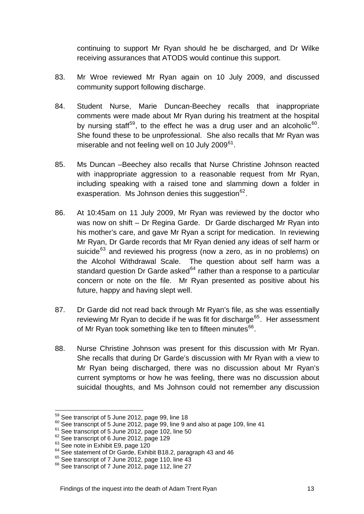continuing to support Mr Ryan should he be discharged, and Dr Wilke receiving assurances that ATODS would continue this support.

- 83. Mr Wroe reviewed Mr Ryan again on 10 July 2009, and discussed community support following discharge.
- 84. Student Nurse, Marie Duncan-Beechey recalls that inappropriate comments were made about Mr Ryan during his treatment at the hospital by nursing staff<sup>[59](#page-12-0)</sup>, to the effect he was a drug user and an alcoholic<sup>[60](#page-12-1)</sup>. She found these to be unprofessional. She also recalls that Mr Ryan was miserable and not feeling well on 10 July 2009<sup>[61](#page-12-2)</sup>.
- 85. Ms Duncan –Beechey also recalls that Nurse Christine Johnson reacted with inappropriate aggression to a reasonable request from Mr Ryan, including speaking with a raised tone and slamming down a folder in exasperation. Ms Johnson denies this suggestion  $62$ .
- 86. At 10:45am on 11 July 2009, Mr Ryan was reviewed by the doctor who was now on shift – Dr Regina Garde. Dr Garde discharged Mr Ryan into his mother's care, and gave Mr Ryan a script for medication. In reviewing Mr Ryan, Dr Garde records that Mr Ryan denied any ideas of self harm or suicide<sup>[63](#page-12-4)</sup> and reviewed his progress (now a zero, as in no problems) on the Alcohol Withdrawal Scale. The question about self harm was a standard question Dr Garde asked<sup>[64](#page-12-5)</sup> rather than a response to a particular concern or note on the file. Mr Ryan presented as positive about his future, happy and having slept well.
- 87. Dr Garde did not read back through Mr Ryan's file, as she was essentially reviewing Mr Ryan to decide if he was fit for discharge<sup>[65](#page-12-6)</sup>. Her assessment of Mr Ryan took something like ten to fifteen minutes<sup>[66](#page-12-7)</sup>.
- 88. Nurse Christine Johnson was present for this discussion with Mr Ryan. She recalls that during Dr Garde's discussion with Mr Ryan with a view to Mr Ryan being discharged, there was no discussion about Mr Ryan's current symptoms or how he was feeling, there was no discussion about suicidal thoughts, and Ms Johnson could not remember any discussion

<span id="page-12-1"></span><span id="page-12-0"></span><sup>&</sup>lt;sup>59</sup> See transcript of 5 June 2012, page 99, line 18<br><sup>60</sup> See transcript of 5 June 2012, page 99, line 9 and also at page 109, line 41<br><sup>61</sup> See transcript of 5 June 2012, page 102, line 50<br><sup>62</sup> See transcript of 6 June 20

<span id="page-12-3"></span><span id="page-12-2"></span>

<span id="page-12-4"></span>

<span id="page-12-5"></span>

<span id="page-12-6"></span>

<span id="page-12-7"></span>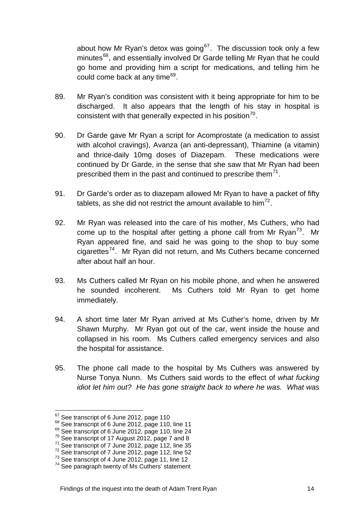about how Mr Ryan's detox was going<sup>[67](#page-13-0)</sup>. The discussion took only a few minutes<sup>[68](#page-13-1)</sup>, and essentially involved Dr Garde telling Mr Ryan that he could go home and providing him a script for medications, and telling him he could come back at any time $69$ .

- 89. Mr Ryan's condition was consistent with it being appropriate for him to be discharged. It also appears that the length of his stay in hospital is consistent with that generally expected in his position $70$ .
- 90. Dr Garde gave Mr Ryan a script for Acomprostate (a medication to assist with alcohol cravings), Avanza (an anti-depressant), Thiamine (a vitamin) and thrice-daily 10mg doses of Diazepam. These medications were continued by Dr Garde, in the sense that she saw that Mr Ryan had been prescribed them in the past and continued to prescribe them<sup>[71](#page-13-4)</sup>.
- 91. Dr Garde's order as to diazepam allowed Mr Ryan to have a packet of fifty tablets, as she did not restrict the amount available to him<sup>[72](#page-13-5)</sup>.
- 92. Mr Ryan was released into the care of his mother, Ms Cuthers, who had come up to the hospital after getting a phone call from Mr Ryan<sup>[73](#page-13-6)</sup>. Mr Ryan appeared fine, and said he was going to the shop to buy some cigarettes[74](#page-13-7). Mr Ryan did not return, and Ms Cuthers became concerned after about half an hour.
- 93. Ms Cuthers called Mr Ryan on his mobile phone, and when he answered he sounded incoherent. Ms Cuthers told Mr Ryan to get home immediately.
- 94. A short time later Mr Ryan arrived at Ms Cuther's home, driven by Mr Shawn Murphy. Mr Ryan got out of the car, went inside the house and collapsed in his room. Ms Cuthers called emergency services and also the hospital for assistance.
- 95. The phone call made to the hospital by Ms Cuthers was answered by Nurse Tonya Nunn. Ms Cuthers said words to the effect of *what fucking idiot let him out? He has gone straight back to where he was. What was*

<span id="page-13-2"></span>

<span id="page-13-3"></span>

<span id="page-13-4"></span>

<span id="page-13-5"></span>

<span id="page-13-7"></span><span id="page-13-6"></span>

<span id="page-13-1"></span><span id="page-13-0"></span><sup>&</sup>lt;sup>67</sup> See transcript of 6 June 2012, page 110<br>
<sup>68</sup> See transcript of 6 June 2012, page 110, line 11<br>
<sup>69</sup> See transcript of 6 June 2012, page 110, line 24<br>
<sup>70</sup> See transcript of 17 August 2012, page 7 and 8<br>
<sup>71</sup> See tra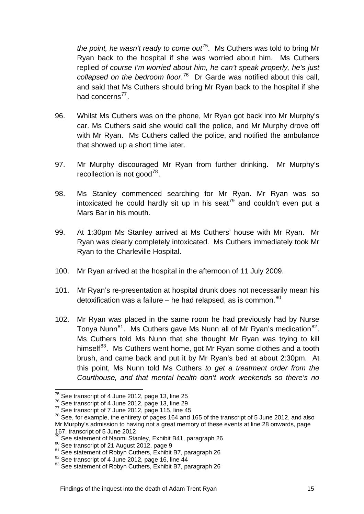*the point, he wasn't ready to come out*<sup>[75](#page-14-0)</sup>. Ms Cuthers was told to bring Mr Ryan back to the hospital if she was worried about him. Ms Cuthers replied *of course I'm worried about him, he can't speak properly, he's just collapsed on the bedroom floor*. [76](#page-14-1) Dr Garde was notified about this call, and said that Ms Cuthers should bring Mr Ryan back to the hospital if she had concerns $^{77}$  $^{77}$  $^{77}$ .

- 96. Whilst Ms Cuthers was on the phone, Mr Ryan got back into Mr Murphy's car. Ms Cuthers said she would call the police, and Mr Murphy drove off with Mr Ryan. Ms Cuthers called the police, and notified the ambulance that showed up a short time later.
- 97. Mr Murphy discouraged Mr Ryan from further drinking. Mr Murphy's recollection is not good<sup>[78](#page-14-3)</sup>.
- 98. Ms Stanley commenced searching for Mr Ryan. Mr Ryan was so intoxicated he could hardly sit up in his seat<sup>[79](#page-14-4)</sup> and couldn't even put a Mars Bar in his mouth.
- 99. At 1:30pm Ms Stanley arrived at Ms Cuthers' house with Mr Ryan. Mr Ryan was clearly completely intoxicated. Ms Cuthers immediately took Mr Ryan to the Charleville Hospital.
- 100. Mr Ryan arrived at the hospital in the afternoon of 11 July 2009.
- 101. Mr Ryan's re-presentation at hospital drunk does not necessarily mean his detoxification was a failure – he had relapsed, as is common. $80$
- 102. Mr Ryan was placed in the same room he had previously had by Nurse Tonya Nunn<sup>[81](#page-14-6)</sup>. Ms Cuthers gave Ms Nunn all of Mr Ryan's medication<sup>[82](#page-14-7)</sup>. Ms Cuthers told Ms Nunn that she thought Mr Ryan was trying to kill himself<sup>[83](#page-14-8)</sup>. Ms Cuthers went home, got Mr Ryan some clothes and a tooth brush, and came back and put it by Mr Ryan's bed at about 2:30pm. At this point, Ms Nunn told Ms Cuthers *to get a treatment order from the Courthouse, and that mental health don't work weekends so there's no*

<span id="page-14-0"></span><sup>&</sup>lt;sup>75</sup> See transcript of 4 June 2012, page 13, line 25

<span id="page-14-3"></span><span id="page-14-2"></span>

<span id="page-14-1"></span> $^{76}$  See transcript of 4 June 2012, page 13, line 29<br> $^{77}$  See transcript of 7 June 2012, page 115, line 45<br> $^{77}$  See, for example, the entirety of pages 164 and 165 of the transcript of 5 June 2012, and also Mr Murphy's admission to having not a great memory of these events at line 28 onwards, page 167, transcript of 5 June 2012<br><sup>79</sup> See statement of Naomi Stanley, Exhibit B41, paragraph 26

<span id="page-14-6"></span><span id="page-14-5"></span><span id="page-14-4"></span><sup>&</sup>lt;sup>80</sup> See transcript of 21 August 2012, page 9<br>
<sup>81</sup> See statement of Robyn Cuthers, Exhibit B7, paragraph 26<br>
<sup>82</sup> See transcript of 4 June 2012, page 16, line 44<br>
<sup>83</sup> See statement of Robyn Cuthers, Exhibit B7, paragrap

<span id="page-14-7"></span>

<span id="page-14-8"></span>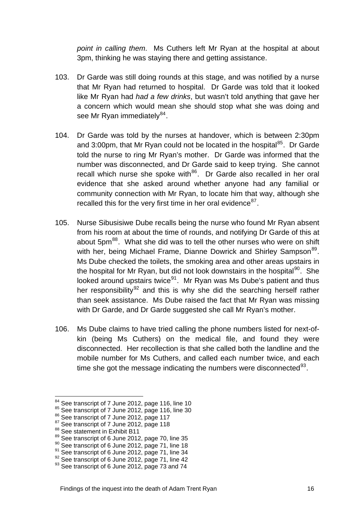*point in calling them*. Ms Cuthers left Mr Ryan at the hospital at about 3pm, thinking he was staying there and getting assistance.

- 103. Dr Garde was still doing rounds at this stage, and was notified by a nurse that Mr Ryan had returned to hospital. Dr Garde was told that it looked like Mr Ryan had *had a few drinks*, but wasn't told anything that gave her a concern which would mean she should stop what she was doing and see Mr Ryan immediately $^{84}$  $^{84}$  $^{84}$ .
- 104. Dr Garde was told by the nurses at handover, which is between 2:30pm and 3:00pm, that Mr Ryan could not be located in the hospital<sup>[85](#page-15-1)</sup>. Dr Garde told the nurse to ring Mr Ryan's mother. Dr Garde was informed that the number was disconnected, and Dr Garde said to keep trying. She cannot recall which nurse she spoke with<sup>[86](#page-15-2)</sup>. Dr Garde also recalled in her oral evidence that she asked around whether anyone had any familial or community connection with Mr Ryan, to locate him that way, although she recalled this for the very first time in her oral evidence $87$ .
- 105. Nurse Sibusisiwe Dube recalls being the nurse who found Mr Ryan absent from his room at about the time of rounds, and notifying Dr Garde of this at about 5pm<sup>[88](#page-15-4)</sup>. What she did was to tell the other nurses who were on shift with her, being Michael Frame, Dianne Dowrick and Shirley Sampson<sup>[89](#page-15-5)</sup>. Ms Dube checked the toilets, the smoking area and other areas upstairs in the hospital for Mr Ryan, but did not look downstairs in the hospital $90$ . She looked around upstairs twice<sup>[91](#page-15-7)</sup>. Mr Ryan was Ms Dube's patient and thus her responsibility<sup>[92](#page-15-8)</sup> and this is why she did the searching herself rather than seek assistance. Ms Dube raised the fact that Mr Ryan was missing with Dr Garde, and Dr Garde suggested she call Mr Ryan's mother.
- 106. Ms Dube claims to have tried calling the phone numbers listed for next-ofkin (being Ms Cuthers) on the medical file, and found they were disconnected. Her recollection is that she called both the landline and the mobile number for Ms Cuthers, and called each number twice, and each time she got the message indicating the numbers were disconnected $93$ .

<span id="page-15-0"></span><sup>84</sup> See transcript of 7 June 2012, page 116, line 10

<span id="page-15-2"></span><span id="page-15-1"></span><sup>&</sup>lt;sup>85</sup> See transcript of 7 June 2012, page 116, line 30  $\frac{86}{5}$  See transcript of 7 June 2012, page 118  $\frac{87}{5}$  See statement in Exhibit B11  $\frac{89}{5}$  See transcript of 6 June 2012, page 70, line 35

<span id="page-15-3"></span>

<span id="page-15-4"></span>

<span id="page-15-7"></span>

<span id="page-15-9"></span><span id="page-15-8"></span>

<span id="page-15-6"></span><span id="page-15-5"></span><sup>&</sup>lt;sup>90</sup> See transcript of 6 June 2012, page 71, line 18<br><sup>91</sup> See transcript of 6 June 2012, page 71, line 34<br><sup>92</sup> See transcript of 6 June 2012, page 71, line 42<br><sup>93</sup> See transcript of 6 June 2012, page 73 and 74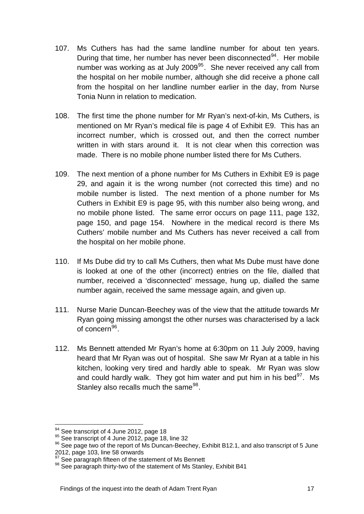- 107. Ms Cuthers has had the same landline number for about ten years. During that time, her number has never been disconnected<sup>[94](#page-16-0)</sup>. Her mobile number was working as at July 2009<sup>[95](#page-16-1)</sup>. She never received any call from the hospital on her mobile number, although she did receive a phone call from the hospital on her landline number earlier in the day, from Nurse Tonia Nunn in relation to medication.
- 108. The first time the phone number for Mr Ryan's next-of-kin, Ms Cuthers, is mentioned on Mr Ryan's medical file is page 4 of Exhibit E9. This has an incorrect number, which is crossed out, and then the correct number written in with stars around it. It is not clear when this correction was made. There is no mobile phone number listed there for Ms Cuthers.
- 109. The next mention of a phone number for Ms Cuthers in Exhibit E9 is page 29, and again it is the wrong number (not corrected this time) and no mobile number is listed. The next mention of a phone number for Ms Cuthers in Exhibit E9 is page 95, with this number also being wrong, and no mobile phone listed. The same error occurs on page 111, page 132, page 150, and page 154. Nowhere in the medical record is there Ms Cuthers' mobile number and Ms Cuthers has never received a call from the hospital on her mobile phone.
- 110. If Ms Dube did try to call Ms Cuthers, then what Ms Dube must have done is looked at one of the other (incorrect) entries on the file, dialled that number, received a 'disconnected' message, hung up, dialled the same number again, received the same message again, and given up.
- 111. Nurse Marie Duncan-Beechey was of the view that the attitude towards Mr Ryan going missing amongst the other nurses was characterised by a lack of concern<sup>[96](#page-16-2)</sup>.
- 112. Ms Bennett attended Mr Ryan's home at 6:30pm on 11 July 2009, having heard that Mr Ryan was out of hospital. She saw Mr Ryan at a table in his kitchen, looking very tired and hardly able to speak. Mr Ryan was slow and could hardly walk. They got him water and put him in his bed<sup>[97](#page-16-3)</sup>. Ms Stanley also recalls much the same<sup>[98](#page-16-4)</sup>.

<span id="page-16-2"></span><span id="page-16-1"></span>

<span id="page-16-0"></span><sup>&</sup>lt;sup>94</sup> See transcript of 4 June 2012, page 18<br><sup>95</sup> See transcript of 4 June 2012, page 18, line 32<br><sup>96</sup> See page two of the report of Ms Duncan-Beechey, Exhibit B12.1, and also transcript of 5 June 2012, page 103, line 58 onwards<br><sup>97</sup> See paragraph fifteen of the statement of Ms Bennett

<span id="page-16-4"></span><span id="page-16-3"></span><sup>98</sup> See paragraph thirty-two of the statement of Ms Stanley, Exhibit B41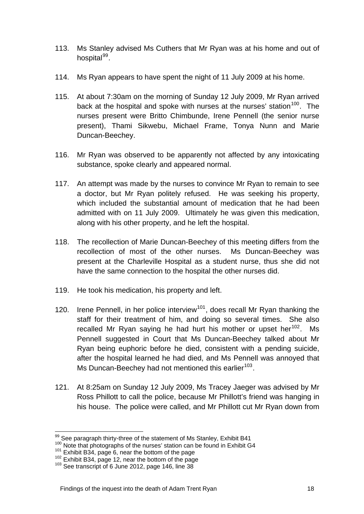- 113. Ms Stanley advised Ms Cuthers that Mr Ryan was at his home and out of hospital $99$ .
- 114. Ms Ryan appears to have spent the night of 11 July 2009 at his home.
- 115. At about 7:30am on the morning of Sunday 12 July 2009, Mr Ryan arrived back at the hospital and spoke with nurses at the nurses' station<sup>[100](#page-17-1)</sup>. The nurses present were Britto Chimbunde, Irene Pennell (the senior nurse present), Thami Sikwebu, Michael Frame, Tonya Nunn and Marie Duncan-Beechey.
- 116. Mr Ryan was observed to be apparently not affected by any intoxicating substance, spoke clearly and appeared normal.
- 117. An attempt was made by the nurses to convince Mr Ryan to remain to see a doctor, but Mr Ryan politely refused. He was seeking his property, which included the substantial amount of medication that he had been admitted with on 11 July 2009. Ultimately he was given this medication, along with his other property, and he left the hospital.
- 118. The recollection of Marie Duncan-Beechey of this meeting differs from the recollection of most of the other nurses. Ms Duncan-Beechey was present at the Charleville Hospital as a student nurse, thus she did not have the same connection to the hospital the other nurses did.
- 119. He took his medication, his property and left.
- 120. Irene Pennell, in her police interview<sup>[101](#page-17-2)</sup>, does recall Mr Ryan thanking the staff for their treatment of him, and doing so several times. She also recalled Mr Ryan saying he had hurt his mother or upset her $102$ . Ms Pennell suggested in Court that Ms Duncan-Beechey talked about Mr Ryan being euphoric before he died, consistent with a pending suicide, after the hospital learned he had died, and Ms Pennell was annoyed that Ms Duncan-Beechey had not mentioned this earlier<sup>[103](#page-17-4)</sup>.
- 121. At 8:25am on Sunday 12 July 2009, Ms Tracey Jaeger was advised by Mr Ross Phillott to call the police, because Mr Phillott's friend was hanging in his house. The police were called, and Mr Phillott cut Mr Ryan down from

<span id="page-17-0"></span><sup>99</sup> See paragraph thirty-three of the statement of Ms Stanley, Exhibit B41

<span id="page-17-1"></span> $\frac{100}{101}$  Note that photographs of the nurses' station can be found in Exhibit G4  $\frac{101}{101}$  Exhibit B34, page 6, near the bottom of the page

<span id="page-17-2"></span>

<span id="page-17-4"></span><span id="page-17-3"></span> $102$  Exhibit B34, page 12, near the bottom of the page  $103$  See transcript of 6 June 2012, page 146, line 38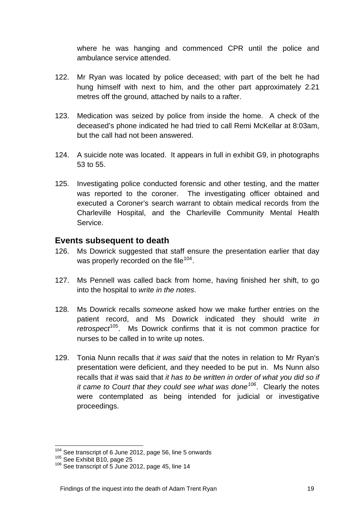where he was hanging and commenced CPR until the police and ambulance service attended.

- 122. Mr Ryan was located by police deceased; with part of the belt he had hung himself with next to him, and the other part approximately 2.21 metres off the ground, attached by nails to a rafter.
- 123. Medication was seized by police from inside the home. A check of the deceased's phone indicated he had tried to call Remi McKellar at 8:03am, but the call had not been answered.
- 124. A suicide note was located. It appears in full in exhibit G9, in photographs 53 to 55.
- 125. Investigating police conducted forensic and other testing, and the matter was reported to the coroner. The investigating officer obtained and executed a Coroner's search warrant to obtain medical records from the Charleville Hospital, and the Charleville Community Mental Health Service.

# **Events subsequent to death**

- 126. Ms Dowrick suggested that staff ensure the presentation earlier that day was properly recorded on the file<sup>[104](#page-18-0)</sup>.
- 127. Ms Pennell was called back from home, having finished her shift, to go into the hospital to *write in the notes*.
- 128. Ms Dowrick recalls *someone* asked how we make further entries on the patient record, and Ms Dowrick indicated they should write *in retrospect*[105](#page-18-1). Ms Dowrick confirms that it is not common practice for nurses to be called in to write up notes.
- 129. Tonia Nunn recalls that *it was said* that the notes in relation to Mr Ryan's presentation were deficient, and they needed to be put in. Ms Nunn also recalls that *it* was said that *it has to be written in order of what you did so if it came to Court that they could see what was done[106](#page-18-2)*. Clearly the notes were contemplated as being intended for judicial or investigative proceedings.

<span id="page-18-0"></span><sup>&</sup>lt;sup>104</sup> See transcript of 6 June 2012, page 56, line 5 onwards<br><sup>105</sup> See Exhibit B10, page 25<br><sup>106</sup> See transcript of 5 June 2012, page 45, line 14

<span id="page-18-1"></span>

<span id="page-18-2"></span>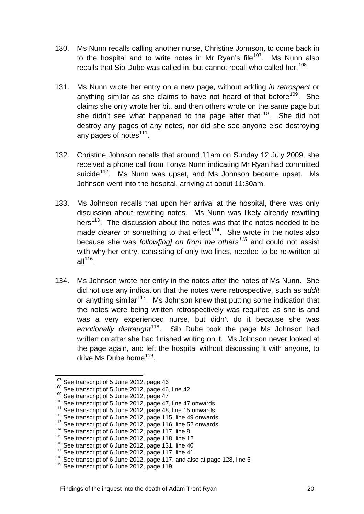- 130. Ms Nunn recalls calling another nurse, Christine Johnson, to come back in to the hospital and to write notes in Mr Ryan's file<sup>[107](#page-19-0)</sup>. Ms Nunn also recalls that Sib Dube was called in, but cannot recall who called her.<sup>[108](#page-19-1)</sup>
- 131. Ms Nunn wrote her entry on a new page, without adding *in retrospect* or anything similar as she claims to have not heard of that before<sup>[109](#page-19-2)</sup>. She claims she only wrote her bit, and then others wrote on the same page but she didn't see what happened to the page after that  $110$ . She did not destroy any pages of any notes, nor did she see anyone else destroying any pages of notes $^{111}$  $^{111}$  $^{111}$ .
- 132. Christine Johnson recalls that around 11am on Sunday 12 July 2009, she received a phone call from Tonya Nunn indicating Mr Ryan had committed suicide<sup>[112](#page-19-5)</sup>. Ms Nunn was upset, and Ms Johnson became upset. Ms Johnson went into the hospital, arriving at about 11:30am.
- 133. Ms Johnson recalls that upon her arrival at the hospital, there was only discussion about rewriting notes. Ms Nunn was likely already rewriting hers<sup>[113](#page-19-6)</sup>. The discussion about the notes was that the notes needed to be made *clearer* or something to that effect<sup>[114](#page-19-7)</sup>. She wrote in the notes also because she was *follow[ing] on from the others[115](#page-19-8)* and could not assist with why her entry, consisting of only two lines, needed to be re-written at all $116$ .
- 134. Ms Johnson wrote her entry in the notes after the notes of Ms Nunn. She did not use any indication that the notes were retrospective, such as *addit*  or anything similar<sup>[117](#page-19-10)</sup>. Ms Johnson knew that putting some indication that the notes were being written retrospectively was required as she is and was a very experienced nurse, but didn't do it because she was emotionally distraught<sup>[118](#page-19-11)</sup>. Sib Dube took the page Ms Johnson had written on after she had finished writing on it. Ms Johnson never looked at the page again, and left the hospital without discussing it with anyone, to drive Ms Dube home<sup>[119](#page-19-12)</sup>.

<span id="page-19-0"></span><sup>&</sup>lt;sup>107</sup> See transcript of 5 June 2012, page 46

<span id="page-19-1"></span>

<span id="page-19-2"></span>

<span id="page-19-3"></span>

<span id="page-19-4"></span>

<span id="page-19-5"></span>

<span id="page-19-6"></span>

<span id="page-19-7"></span>

<span id="page-19-8"></span>

<span id="page-19-9"></span>

<span id="page-19-10"></span>

<sup>&</sup>lt;sup>107</sup> See transcript of 5 June 2012, page 46<br><sup>108</sup> See transcript of 5 June 2012, page 46, line 42<br><sup>109</sup> See transcript of 5 June 2012, page 47<br><sup>110</sup> See transcript of 5 June 2012, page 47, line 47 onwards<br><sup>111</sup> See trans

<span id="page-19-12"></span><span id="page-19-11"></span>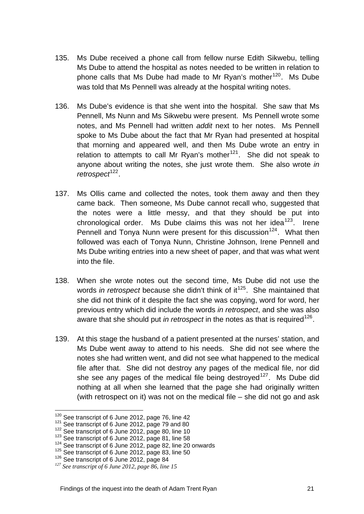- 135. Ms Dube received a phone call from fellow nurse Edith Sikwebu, telling Ms Dube to attend the hospital as notes needed to be written in relation to phone calls that Ms Dube had made to Mr Rvan's mother<sup>[120](#page-20-0)</sup>. Ms Dube was told that Ms Pennell was already at the hospital writing notes.
- 136. Ms Dube's evidence is that she went into the hospital. She saw that Ms Pennell, Ms Nunn and Ms Sikwebu were present. Ms Pennell wrote some notes, and Ms Pennell had written *addit* next to her notes. Ms Pennell spoke to Ms Dube about the fact that Mr Ryan had presented at hospital that morning and appeared well, and then Ms Dube wrote an entry in relation to attempts to call Mr Ryan's mother<sup>[121](#page-20-1)</sup>. She did not speak to anyone about writing the notes, she just wrote them. She also wrote *in retrospect*<sup>[122](#page-20-2)</sup>.
- 137. Ms Ollis came and collected the notes, took them away and then they came back. Then someone, Ms Dube cannot recall who, suggested that the notes were a little messy, and that they should be put into chronological order. Ms Dube claims this was not her idea<sup>[123](#page-20-3)</sup>. Irene Pennell and Tonya Nunn were present for this discussion<sup>[124](#page-20-4)</sup>. What then followed was each of Tonya Nunn, Christine Johnson, Irene Pennell and Ms Dube writing entries into a new sheet of paper, and that was what went into the file.
- 138. When she wrote notes out the second time, Ms Dube did not use the words *in retrospect* because she didn't think of it<sup>[125](#page-20-5)</sup>. She maintained that she did not think of it despite the fact she was copying, word for word, her previous entry which did include the words *in retrospect*, and she was also aware that she should put *in retrospect* in the notes as that is required<sup>[126](#page-20-6)</sup>.
- 139. At this stage the husband of a patient presented at the nurses' station, and Ms Dube went away to attend to his needs. She did not see where the notes she had written went, and did not see what happened to the medical file after that. She did not destroy any pages of the medical file, nor did she see any pages of the medical file being destroved<sup>[127](#page-20-7)</sup>. Ms Dube did nothing at all when she learned that the page she had originally written (with retrospect on it) was not on the medical file – she did not go and ask

<span id="page-20-0"></span><sup>&</sup>lt;sup>120</sup> See transcript of 6 June 2012, page 76, line 42

<span id="page-20-2"></span>

<span id="page-20-3"></span>

<span id="page-20-1"></span><sup>&</sup>lt;sup>121</sup> See transcript of 6 June 2012, page 79 and 80<br><sup>122</sup> See transcript of 6 June 2012, page 80, line 10<br><sup>123</sup> See transcript of 6 June 2012, page 81, line 58<br><sup>124</sup> See transcript of 6 June 2012, page 82, line 20 onwards

<span id="page-20-5"></span><span id="page-20-4"></span>

<span id="page-20-6"></span>

<span id="page-20-7"></span>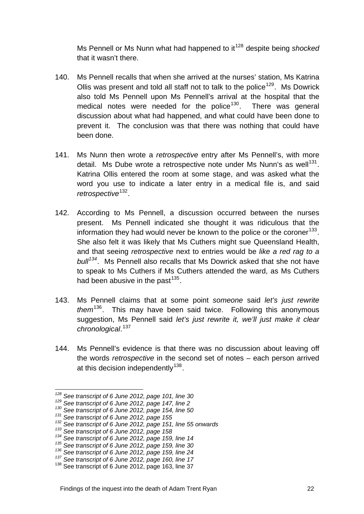Ms Pennell or Ms Nunn what had happened to it<sup>[128](#page-21-0)</sup> despite being *shocked* that it wasn't there.

- 140. Ms Pennell recalls that when she arrived at the nurses' station, Ms Katrina Ollis was present and told all staff not to talk to the police<sup>[129](#page-21-1)</sup>. Ms Dowrick also told Ms Pennell upon Ms Pennell's arrival at the hospital that the medical notes were needed for the police<sup>[130](#page-21-2)</sup>. There was general discussion about what had happened, and what could have been done to prevent it. The conclusion was that there was nothing that could have been done.
- 141. Ms Nunn then wrote a *retrospective* entry after Ms Pennell's, with more detail. Ms Dube wrote a retrospective note under Ms Nunn's as well<sup>[131](#page-21-3)</sup>. Katrina Ollis entered the room at some stage, and was asked what the word you use to indicate a later entry in a medical file is, and said *retrospective*[132](#page-21-4).
- 142. According to Ms Pennell, a discussion occurred between the nurses present. Ms Pennell indicated she thought it was ridiculous that the information they had would never be known to the police or the coroner<sup>[133](#page-21-5)</sup>. She also felt it was likely that Ms Cuthers might sue Queensland Health, and that seeing *retrospective* next to entries would be *like a red rag to a bull[134](#page-21-6)*. Ms Pennell also recalls that Ms Dowrick asked that she not have to speak to Ms Cuthers if Ms Cuthers attended the ward, as Ms Cuthers had been abusive in the past  $135$ .
- 143. Ms Pennell claims that at some point *someone* said *let's just rewrite them*[136](#page-21-8). This may have been said twice. Following this anonymous suggestion, Ms Pennell said *let's just rewrite it, we'll just make it clear chronological*. [137](#page-21-9)
- 144. Ms Pennell's evidence is that there was no discussion about leaving off the words *retrospective* in the second set of notes – each person arrived at this decision independently $138$ .

<sup>&</sup>lt;sup>128</sup> See transcript of 6 June 2012, page 101, line 30

<span id="page-21-3"></span>

<span id="page-21-2"></span><span id="page-21-1"></span><span id="page-21-0"></span><sup>&</sup>lt;sup>129</sup> See transcript of 6 June 2012, page 147, line 2<br>
<sup>130</sup> See transcript of 6 June 2012, page 154, line 50<br>
<sup>131</sup> See transcript of 6 June 2012, page 155<br>
<sup>132</sup> See transcript of 6 June 2012, page 151, line 55 onwards<br>

<span id="page-21-5"></span><span id="page-21-4"></span>

<span id="page-21-6"></span>

<span id="page-21-7"></span>

<span id="page-21-8"></span>

<span id="page-21-9"></span>

<span id="page-21-10"></span>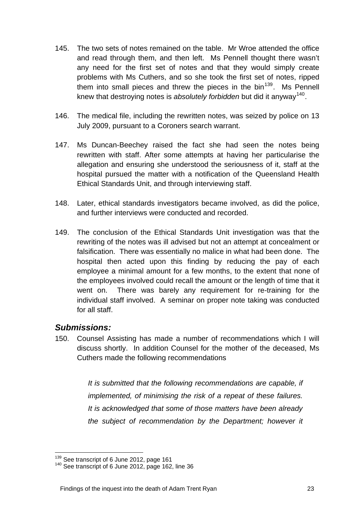- 145. The two sets of notes remained on the table. Mr Wroe attended the office and read through them, and then left. Ms Pennell thought there wasn't any need for the first set of notes and that they would simply create problems with Ms Cuthers, and so she took the first set of notes, ripped them into small pieces and threw the pieces in the  $bin<sup>139</sup>$  $bin<sup>139</sup>$  $bin<sup>139</sup>$ . Ms Pennell knew that destroying notes is *absolutely forbidden* but did it anyway[140](#page-22-1).
- 146. The medical file, including the rewritten notes, was seized by police on 13 July 2009, pursuant to a Coroners search warrant.
- 147. Ms Duncan-Beechey raised the fact she had seen the notes being rewritten with staff. After some attempts at having her particularise the allegation and ensuring she understood the seriousness of it, staff at the hospital pursued the matter with a notification of the Queensland Health Ethical Standards Unit, and through interviewing staff.
- 148. Later, ethical standards investigators became involved, as did the police, and further interviews were conducted and recorded.
- 149. The conclusion of the Ethical Standards Unit investigation was that the rewriting of the notes was ill advised but not an attempt at concealment or falsification. There was essentially no malice in what had been done. The hospital then acted upon this finding by reducing the pay of each employee a minimal amount for a few months, to the extent that none of the employees involved could recall the amount or the length of time that it went on. There was barely any requirement for re-training for the individual staff involved. A seminar on proper note taking was conducted for all staff.

# *Submissions:*

150. Counsel Assisting has made a number of recommendations which I will discuss shortly. In addition Counsel for the mother of the deceased, Ms Cuthers made the following recommendations

> *It is submitted that the following recommendations are capable, if implemented, of minimising the risk of a repeat of these failures. It is acknowledged that some of those matters have been already the subject of recommendation by the Department; however it*

<sup>&</sup>lt;sup>139</sup> See transcript of 6 June 2012, page 161

<span id="page-22-1"></span><span id="page-22-0"></span> $140$  See transcript of 6 June 2012, page 162, line 36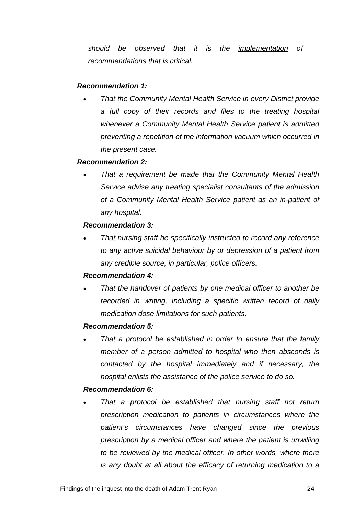*should be observed that it is the implementation of recommendations that is critical.* 

#### *Recommendation 1:*

• *That the Community Mental Health Service in every District provide a full copy of their records and files to the treating hospital whenever a Community Mental Health Service patient is admitted preventing a repetition of the information vacuum which occurred in the present case.* 

#### *Recommendation 2:*

• *That a requirement be made that the Community Mental Health Service advise any treating specialist consultants of the admission of a Community Mental Health Service patient as an in-patient of any hospital.* 

#### *Recommendation 3:*

• *That nursing staff be specifically instructed to record any reference to any active suicidal behaviour by or depression of a patient from any credible source, in particular, police officers.* 

## *Recommendation 4:*

• *That the handover of patients by one medical officer to another be recorded in writing, including a specific written record of daily medication dose limitations for such patients.* 

## *Recommendation 5:*

• *That a protocol be established in order to ensure that the family member of a person admitted to hospital who then absconds is contacted by the hospital immediately and if necessary, the hospital enlists the assistance of the police service to do so.* 

## *Recommendation 6:*

• *That a protocol be established that nursing staff not return prescription medication to patients in circumstances where the patient's circumstances have changed since the previous prescription by a medical officer and where the patient is unwilling*  to be reviewed by the medical officer. In other words, where there *is any doubt at all about the efficacy of returning medication to a*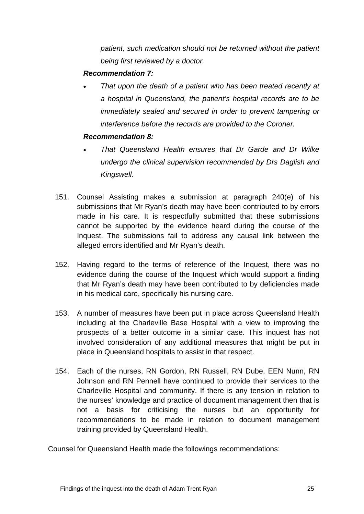*patient, such medication should not be returned without the patient being first reviewed by a doctor.* 

## *Recommendation 7:*

• *That upon the death of a patient who has been treated recently at a hospital in Queensland, the patient's hospital records are to be immediately sealed and secured in order to prevent tampering or interference before the records are provided to the Coroner.* 

## *Recommendation 8:*

- *That Queensland Health ensures that Dr Garde and Dr Wilke undergo the clinical supervision recommended by Drs Daglish and Kingswell.*
- 151. Counsel Assisting makes a submission at paragraph 240(e) of his submissions that Mr Ryan's death may have been contributed to by errors made in his care. It is respectfully submitted that these submissions cannot be supported by the evidence heard during the course of the Inquest. The submissions fail to address any causal link between the alleged errors identified and Mr Ryan's death.
- 152. Having regard to the terms of reference of the Inquest, there was no evidence during the course of the Inquest which would support a finding that Mr Ryan's death may have been contributed to by deficiencies made in his medical care, specifically his nursing care.
- 153. A number of measures have been put in place across Queensland Health including at the Charleville Base Hospital with a view to improving the prospects of a better outcome in a similar case. This inquest has not involved consideration of any additional measures that might be put in place in Queensland hospitals to assist in that respect.
- 154. Each of the nurses, RN Gordon, RN Russell, RN Dube, EEN Nunn, RN Johnson and RN Pennell have continued to provide their services to the Charleville Hospital and community. If there is any tension in relation to the nurses' knowledge and practice of document management then that is not a basis for criticising the nurses but an opportunity for recommendations to be made in relation to document management training provided by Queensland Health.

Counsel for Queensland Health made the followings recommendations: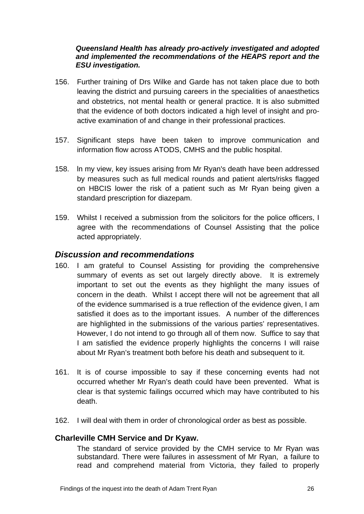#### *Queensland Health has already pro-actively investigated and adopted and implemented the recommendations of the HEAPS report and the ESU investigation.*

- 156. Further training of Drs Wilke and Garde has not taken place due to both leaving the district and pursuing careers in the specialities of anaesthetics and obstetrics, not mental health or general practice. It is also submitted that the evidence of both doctors indicated a high level of insight and proactive examination of and change in their professional practices.
- 157. Significant steps have been taken to improve communication and information flow across ATODS, CMHS and the public hospital.
- 158. ln my view, key issues arising from Mr Ryan's death have been addressed by measures such as full medical rounds and patient alerts/risks flagged on HBCIS lower the risk of a patient such as Mr Ryan being given a standard prescription for diazepam.
- 159. Whilst I received a submission from the solicitors for the police officers, I agree with the recommendations of Counsel Assisting that the police acted appropriately.

# *Discussion and recommendations*

- 160. I am grateful to Counsel Assisting for providing the comprehensive summary of events as set out largely directly above. It is extremely important to set out the events as they highlight the many issues of concern in the death. Whilst I accept there will not be agreement that all of the evidence summarised is a true reflection of the evidence given, I am satisfied it does as to the important issues. A number of the differences are highlighted in the submissions of the various parties' representatives. However, I do not intend to go through all of them now. Suffice to say that I am satisfied the evidence properly highlights the concerns I will raise about Mr Ryan's treatment both before his death and subsequent to it.
- 161. It is of course impossible to say if these concerning events had not occurred whether Mr Ryan's death could have been prevented. What is clear is that systemic failings occurred which may have contributed to his death.
- 162. I will deal with them in order of chronological order as best as possible.

## **Charleville CMH Service and Dr Kyaw.**

The standard of service provided by the CMH service to Mr Ryan was substandard. There were failures in assessment of Mr Ryan, a failure to read and comprehend material from Victoria, they failed to properly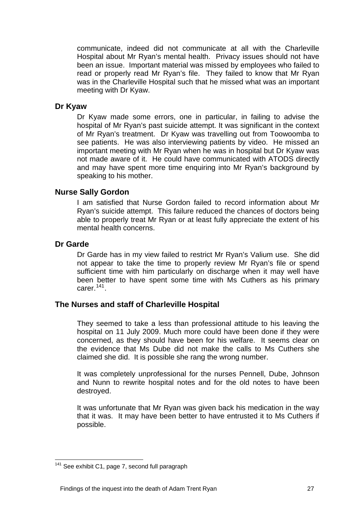communicate, indeed did not communicate at all with the Charleville Hospital about Mr Ryan's mental health. Privacy issues should not have been an issue. Important material was missed by employees who failed to read or properly read Mr Ryan's file. They failed to know that Mr Ryan was in the Charleville Hospital such that he missed what was an important meeting with Dr Kyaw.

#### **Dr Kyaw**

Dr Kyaw made some errors, one in particular, in failing to advise the hospital of Mr Ryan's past suicide attempt. It was significant in the context of Mr Ryan's treatment. Dr Kyaw was travelling out from Toowoomba to see patients. He was also interviewing patients by video. He missed an important meeting with Mr Ryan when he was in hospital but Dr Kyaw was not made aware of it. He could have communicated with ATODS directly and may have spent more time enquiring into Mr Ryan's background by speaking to his mother.

#### **Nurse Sally Gordon**

I am satisfied that Nurse Gordon failed to record information about Mr Ryan's suicide attempt. This failure reduced the chances of doctors being able to properly treat Mr Ryan or at least fully appreciate the extent of his mental health concerns.

#### **Dr Garde**

Dr Garde has in my view failed to restrict Mr Ryan's Valium use. She did not appear to take the time to properly review Mr Ryan's file or spend sufficient time with him particularly on discharge when it may well have been better to have spent some time with Ms Cuthers as his primary carer. $141$ .

#### **The Nurses and staff of Charleville Hospital**

They seemed to take a less than professional attitude to his leaving the hospital on 11 July 2009. Much more could have been done if they were concerned, as they should have been for his welfare. It seems clear on the evidence that Ms Dube did not make the calls to Ms Cuthers she claimed she did. It is possible she rang the wrong number.

It was completely unprofessional for the nurses Pennell, Dube, Johnson and Nunn to rewrite hospital notes and for the old notes to have been destroyed.

It was unfortunate that Mr Ryan was given back his medication in the way that it was. It may have been better to have entrusted it to Ms Cuthers if possible.

<span id="page-26-0"></span> $\overline{a}$ <sup>141</sup> See exhibit C1, page 7, second full paragraph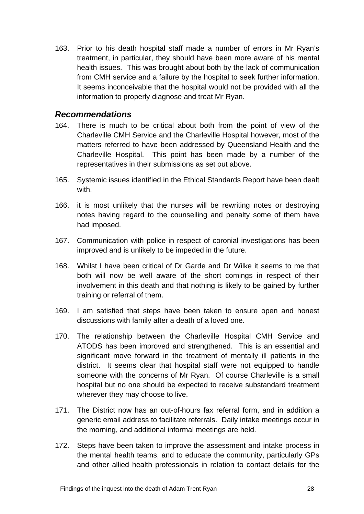163. Prior to his death hospital staff made a number of errors in Mr Ryan's treatment, in particular, they should have been more aware of his mental health issues. This was brought about both by the lack of communication from CMH service and a failure by the hospital to seek further information. It seems inconceivable that the hospital would not be provided with all the information to properly diagnose and treat Mr Ryan.

# *Recommendations*

- 164. There is much to be critical about both from the point of view of the Charleville CMH Service and the Charleville Hospital however, most of the matters referred to have been addressed by Queensland Health and the Charleville Hospital. This point has been made by a number of the representatives in their submissions as set out above.
- 165. Systemic issues identified in the Ethical Standards Report have been dealt with.
- 166. it is most unlikely that the nurses will be rewriting notes or destroying notes having regard to the counselling and penalty some of them have had imposed.
- 167. Communication with police in respect of coronial investigations has been improved and is unlikely to be impeded in the future.
- 168. Whilst I have been critical of Dr Garde and Dr Wilke it seems to me that both will now be well aware of the short comings in respect of their involvement in this death and that nothing is likely to be gained by further training or referral of them.
- 169. I am satisfied that steps have been taken to ensure open and honest discussions with family after a death of a loved one.
- 170. The relationship between the Charleville Hospital CMH Service and ATODS has been improved and strengthened. This is an essential and significant move forward in the treatment of mentally ill patients in the district. It seems clear that hospital staff were not equipped to handle someone with the concerns of Mr Ryan. Of course Charleville is a small hospital but no one should be expected to receive substandard treatment wherever they may choose to live.
- 171. The District now has an out-of-hours fax referral form, and in addition a generic email address to facilitate referrals. Daily intake meetings occur in the morning, and additional informal meetings are held.
- 172. Steps have been taken to improve the assessment and intake process in the mental health teams, and to educate the community, particularly GPs and other allied health professionals in relation to contact details for the